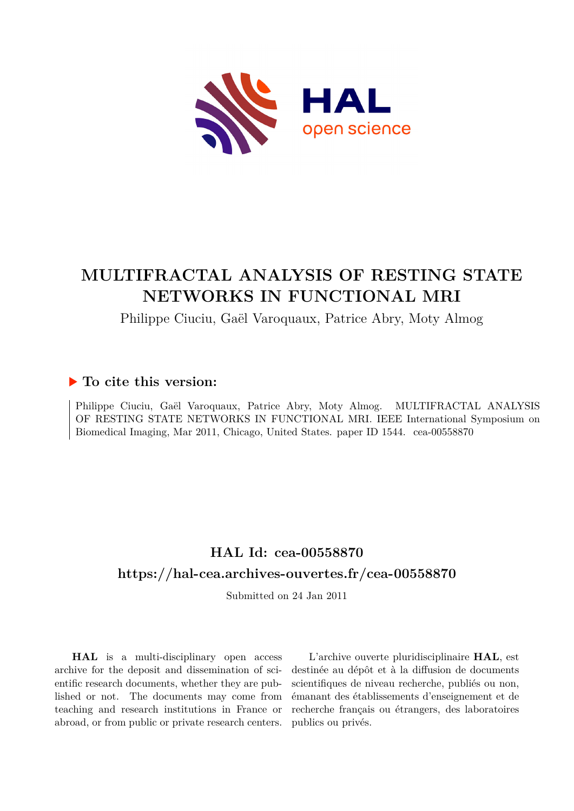

# **MULTIFRACTAL ANALYSIS OF RESTING STATE NETWORKS IN FUNCTIONAL MRI**

Philippe Ciuciu, Gaël Varoquaux, Patrice Abry, Moty Almog

# **To cite this version:**

Philippe Ciuciu, Gaël Varoquaux, Patrice Abry, Moty Almog. MULTIFRACTAL ANALYSIS OF RESTING STATE NETWORKS IN FUNCTIONAL MRI. IEEE International Symposium on Biomedical Imaging, Mar 2011, Chicago, United States. paper ID 1544. cea-00558870

# **HAL Id: cea-00558870 <https://hal-cea.archives-ouvertes.fr/cea-00558870>**

Submitted on 24 Jan 2011

**HAL** is a multi-disciplinary open access archive for the deposit and dissemination of scientific research documents, whether they are published or not. The documents may come from teaching and research institutions in France or abroad, or from public or private research centers.

L'archive ouverte pluridisciplinaire **HAL**, est destinée au dépôt et à la diffusion de documents scientifiques de niveau recherche, publiés ou non, émanant des établissements d'enseignement et de recherche français ou étrangers, des laboratoires publics ou privés.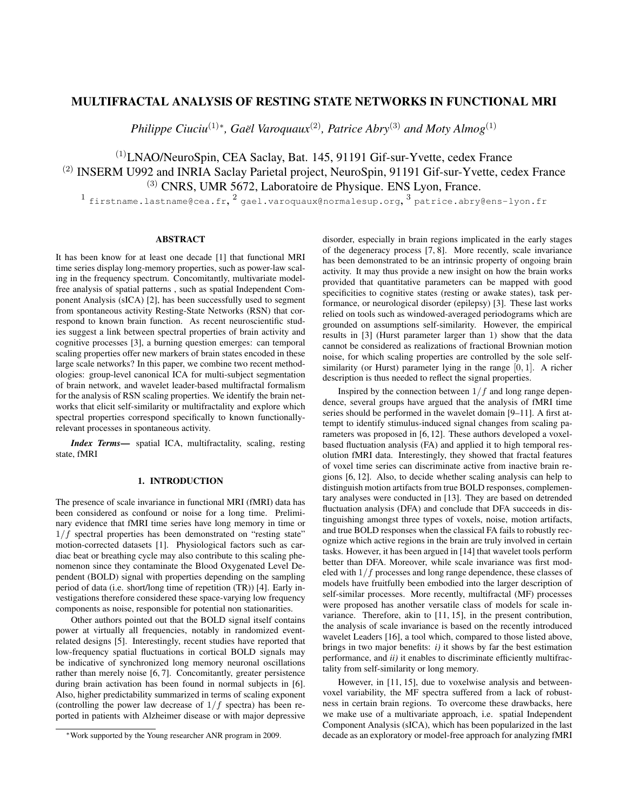# MULTIFRACTAL ANALYSIS OF RESTING STATE NETWORKS IN FUNCTIONAL MRI

*Philippe Ciuciu*<sup>(1)∗</sup>, *Gaël Varoquaux*<sup>(2)</sup>, *Patrice Abry*<sup>(3)</sup> *and Moty Almog*<sup>(1)</sup>

# (1)LNAO/NeuroSpin, CEA Saclay, Bat. 145, 91191 Gif-sur-Yvette, cedex France (2) INSERM U992 and INRIA Saclay Parietal project, NeuroSpin, 91191 Gif-sur-Yvette, cedex France (3) CNRS, UMR 5672, Laboratoire de Physique. ENS Lyon, France.

 $^1$  firstname.lastname@cea.fr, $^2$  gael.varoquaux@normalesup.org,  $^3$  patrice.abry@ens-lyon.fr

#### ABSTRACT

It has been know for at least one decade [1] that functional MRI time series display long-memory properties, such as power-law scaling in the frequency spectrum. Concomitantly, multivariate modelfree analysis of spatial patterns , such as spatial Independent Component Analysis (sICA) [2], has been successfully used to segment from spontaneous activity Resting-State Networks (RSN) that correspond to known brain function. As recent neuroscientific studies suggest a link between spectral properties of brain activity and cognitive processes [3], a burning question emerges: can temporal scaling properties offer new markers of brain states encoded in these large scale networks? In this paper, we combine two recent methodologies: group-level canonical ICA for multi-subject segmentation of brain network, and wavelet leader-based multifractal formalism for the analysis of RSN scaling properties. We identify the brain networks that elicit self-similarity or multifractality and explore which spectral properties correspond specifically to known functionallyrelevant processes in spontaneous activity.

*Index Terms*— spatial ICA, multifractality, scaling, resting state, fMRI

# 1. INTRODUCTION

The presence of scale invariance in functional MRI (fMRI) data has been considered as confound or noise for a long time. Preliminary evidence that fMRI time series have long memory in time or  $1/f$  spectral properties has been demonstrated on "resting state" motion-corrected datasets [1]. Physiological factors such as cardiac beat or breathing cycle may also contribute to this scaling phenomenon since they contaminate the Blood Oxygenated Level Dependent (BOLD) signal with properties depending on the sampling period of data (i.e. short/long time of repetition (TR)) [4]. Early investigations therefore considered these space-varying low frequency components as noise, responsible for potential non stationarities.

Other authors pointed out that the BOLD signal itself contains power at virtually all frequencies, notably in randomized eventrelated designs [5]. Interestingly, recent studies have reported that low-frequency spatial fluctuations in cortical BOLD signals may be indicative of synchronized long memory neuronal oscillations rather than merely noise [6, 7]. Concomitantly, greater persistence during brain activation has been found in normal subjects in [6]. Also, higher predictability summarized in terms of scaling exponent (controlling the power law decrease of  $1/f$  spectra) has been reported in patients with Alzheimer disease or with major depressive disorder, especially in brain regions implicated in the early stages of the degeneracy process [7, 8]. More recently, scale invariance has been demonstrated to be an intrinsic property of ongoing brain activity. It may thus provide a new insight on how the brain works provided that quantitative parameters can be mapped with good specificities to cognitive states (resting or awake states), task performance, or neurological disorder (epilepsy) [3]. These last works relied on tools such as windowed-averaged periodograms which are grounded on assumptions self-similarity. However, the empirical results in [3] (Hurst parameter larger than 1) show that the data cannot be considered as realizations of fractional Brownian motion noise, for which scaling properties are controlled by the sole selfsimilarity (or Hurst) parameter lying in the range [0, 1]. A richer description is thus needed to reflect the signal properties.

Inspired by the connection between  $1/f$  and long range dependence, several groups have argued that the analysis of fMRI time series should be performed in the wavelet domain [9–11]. A first attempt to identify stimulus-induced signal changes from scaling parameters was proposed in [6, 12]. These authors developed a voxelbased fluctuation analysis (FA) and applied it to high temporal resolution fMRI data. Interestingly, they showed that fractal features of voxel time series can discriminate active from inactive brain regions [6, 12]. Also, to decide whether scaling analysis can help to distinguish motion artifacts from true BOLD responses, complementary analyses were conducted in [13]. They are based on detrended fluctuation analysis (DFA) and conclude that DFA succeeds in distinguishing amongst three types of voxels, noise, motion artifacts, and true BOLD responses when the classical FA fails to robustly recognize which active regions in the brain are truly involved in certain tasks. However, it has been argued in [14] that wavelet tools perform better than DFA. Moreover, while scale invariance was first modeled with 1/f processes and long range dependence, these classes of models have fruitfully been embodied into the larger description of self-similar processes. More recently, multifractal (MF) processes were proposed has another versatile class of models for scale invariance. Therefore, akin to [11, 15], in the present contribution, the analysis of scale invariance is based on the recently introduced wavelet Leaders [16], a tool which, compared to those listed above, brings in two major benefits: *i)* it shows by far the best estimation performance, and *ii)* it enables to discriminate efficiently multifractality from self-similarity or long memory.

However, in [11, 15], due to voxelwise analysis and betweenvoxel variability, the MF spectra suffered from a lack of robustness in certain brain regions. To overcome these drawbacks, here we make use of a multivariate approach, i.e. spatial Independent Component Analysis (sICA), which has been popularized in the last decade as an exploratory or model-free approach for analyzing fMRI

<sup>∗</sup>Work supported by the Young researcher ANR program in 2009.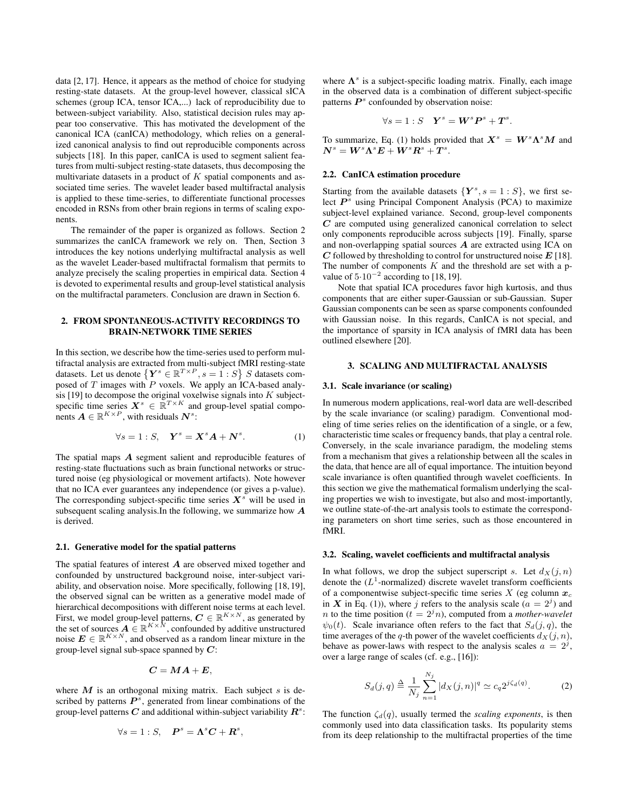data [2, 17]. Hence, it appears as the method of choice for studying resting-state datasets. At the group-level however, classical sICA schemes (group ICA, tensor ICA,...) lack of reproducibility due to between-subject variability. Also, statistical decision rules may appear too conservative. This has motivated the development of the canonical ICA (canICA) methodology, which relies on a generalized canonical analysis to find out reproducible components across subjects [18]. In this paper, canICA is used to segment salient features from multi-subject resting-state datasets, thus decomposing the multivariate datasets in a product of  $K$  spatial components and associated time series. The wavelet leader based multifractal analysis is applied to these time-series, to differentiate functional processes encoded in RSNs from other brain regions in terms of scaling exponents.

The remainder of the paper is organized as follows. Section 2 summarizes the canICA framework we rely on. Then, Section 3 introduces the key notions underlying multifractal analysis as well as the wavelet Leader-based multifractal formalism that permits to analyze precisely the scaling properties in empirical data. Section 4 is devoted to experimental results and group-level statistical analysis on the multifractal parameters. Conclusion are drawn in Section 6.

## 2. FROM SPONTANEOUS-ACTIVITY RECORDINGS TO BRAIN-NETWORK TIME SERIES

In this section, we describe how the time-series used to perform multifractal analysis are extracted from multi-subject fMRI resting-state datasets. Let us denote  $\{Y^s \in \mathbb{R}^{T \times P}, s = 1 : S\}$  S datasets composed of  $T$  images with  $P$  voxels. We apply an ICA-based analysis [19] to decompose the original voxelwise signals into  $K$  subjectspecific time series  $X^s \in \mathbb{R}^{T \times K}$  and group-level spatial components  $A \in \mathbb{R}^{K \times P}$ , with residuals  $N^s$ :

$$
\forall s = 1: S, \quad \mathbf{Y}^s = \mathbf{X}^s \mathbf{A} + \mathbf{N}^s. \tag{1}
$$

The spatial maps A segment salient and reproducible features of resting-state fluctuations such as brain functional networks or structured noise (eg physiological or movement artifacts). Note however that no ICA ever guarantees any independence (or gives a p-value). The corresponding subject-specific time series  $X^s$  will be used in subsequent scaling analysis.In the following, we summarize how A is derived.

#### 2.1. Generative model for the spatial patterns

The spatial features of interest  $A$  are observed mixed together and confounded by unstructured background noise, inter-subject variability, and observation noise. More specifically, following [18, 19], the observed signal can be written as a generative model made of hierarchical decompositions with different noise terms at each level. First, we model group-level patterns,  $C \in \mathbb{R}^{K \times N}$ , as generated by the set of sources  $\mathbf{A} \in \mathbb{R}^{K \times \hat{N}}$ , confounded by additive unstructured noise  $E \in \mathbb{R}^{K \times N}$ , and observed as a random linear mixture in the group-level signal sub-space spanned by  $C$ :

$$
C=MA+E,
$$

where  $M$  is an orthogonal mixing matrix. Each subject  $s$  is described by patterns  $P^s$ , generated from linear combinations of the group-level patterns  $C$  and additional within-subject variability  $R^s$ :

$$
\forall s=1:S, \quad \boldsymbol{P}^s=\boldsymbol{\Lambda}^s\boldsymbol{C}+\boldsymbol{R}^s,
$$

where  $\Lambda^s$  is a subject-specific loading matrix. Finally, each image in the observed data is a combination of different subject-specific patterns  $P<sup>s</sup>$  confounded by observation noise:

$$
\forall s=1:S \quad \boldsymbol{Y}^s=\boldsymbol{W}^s\boldsymbol{P}^s+\boldsymbol{T}^s.
$$

To summarize, Eq. (1) holds provided that  $X^s = W^s \Lambda^s M$  and  $\boldsymbol{N}^s = \boldsymbol{W}^s \boldsymbol{\Lambda}^s \boldsymbol{E} + \boldsymbol{W}^s \boldsymbol{R}^s + \boldsymbol{T}^s.$ 

#### 2.2. CanICA estimation procedure

Starting from the available datasets  ${Y^s, s = 1 : S}$ , we first select  $P^s$  using Principal Component Analysis (PCA) to maximize subject-level explained variance. Second, group-level components C are computed using generalized canonical correlation to select only components reproducible across subjects [19]. Finally, sparse and non-overlapping spatial sources A are extracted using ICA on  $C$  followed by thresholding to control for unstructured noise  $E$  [18]. The number of components  $K$  and the threshold are set with a pvalue of  $5.10^{-2}$  according to [18,19].

Note that spatial ICA procedures favor high kurtosis, and thus components that are either super-Gaussian or sub-Gaussian. Super Gaussian components can be seen as sparse components confounded with Gaussian noise. In this regards, CanICA is not special, and the importance of sparsity in ICA analysis of fMRI data has been outlined elsewhere [20].

## 3. SCALING AND MULTIFRACTAL ANALYSIS

#### 3.1. Scale invariance (or scaling)

In numerous modern applications, real-worl data are well-described by the scale invariance (or scaling) paradigm. Conventional modeling of time series relies on the identification of a single, or a few, characteristic time scales or frequency bands, that play a central role. Conversely, in the scale invariance paradigm, the modeling stems from a mechanism that gives a relationship between all the scales in the data, that hence are all of equal importance. The intuition beyond scale invariance is often quantified through wavelet coefficients. In this section we give the mathematical formalism underlying the scaling properties we wish to investigate, but also and most-importantly, we outline state-of-the-art analysis tools to estimate the corresponding parameters on short time series, such as those encountered in fMRI.

#### 3.2. Scaling, wavelet coefficients and multifractal analysis

In what follows, we drop the subject superscript s. Let  $d_X(j, n)$ denote the  $(L^1$ -normalized) discrete wavelet transform coefficients of a componentwise subject-specific time series  $X$  (eg column  $x_c$ ) in X in Eq. (1)), where j refers to the analysis scale  $(a = 2<sup>j</sup>)$  and *n* to the time position ( $t = 2^{j}n$ ), computed from a *mother-wavelet*  $\psi_0(t)$ . Scale invariance often refers to the fact that  $S_d(j, q)$ , the time averages of the q-th power of the wavelet coefficients  $d_X(j, n)$ , behave as power-laws with respect to the analysis scales  $a = 2^{j}$ , over a large range of scales (cf. e.g., [16]):

$$
S_d(j,q) \stackrel{\Delta}{=} \frac{1}{N_j} \sum_{n=1}^{N_j} |d_X(j,n)|^q \simeq c_q 2^{j\zeta_d(q)}.
$$
 (2)

The function  $\zeta_d(q)$ , usually termed the *scaling exponents*, is then commonly used into data classification tasks. Its popularity stems from its deep relationship to the multifractal properties of the time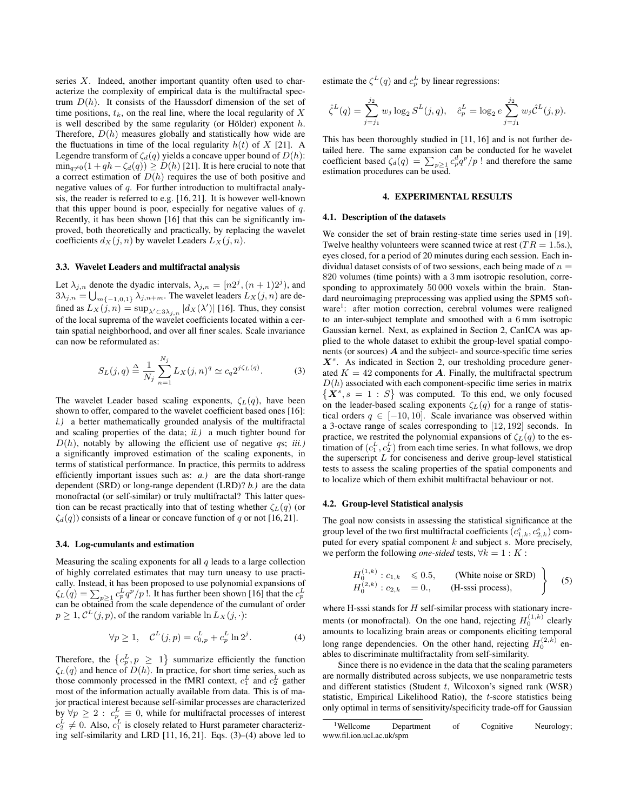series  $X$ . Indeed, another important quantity often used to characterize the complexity of empirical data is the multifractal spectrum  $D(h)$ . It consists of the Haussdorf dimension of the set of time positions,  $t_k$ , on the real line, where the local regularity of X is well described by the same regularity (or Hölder) exponent  $h$ . Therefore,  $D(h)$  measures globally and statistically how wide are the fluctuations in time of the local regularity  $h(t)$  of X [21]. A Legendre transform of  $\zeta_d(q)$  yields a concave upper bound of  $D(h)$ :  $\min_{q\neq0}(1 + qh - \zeta_d(q)) \geq D(h)$  [21]. It is here crucial to note that a correct estimation of  $D(h)$  requires the use of both positive and negative values of q. For further introduction to multifractal analysis, the reader is referred to e.g. [16, 21]. It is however well-known that this upper bound is poor, especially for negative values of  $q$ . Recently, it has been shown [16] that this can be significantly improved, both theoretically and practically, by replacing the wavelet coefficients  $d_X(j, n)$  by wavelet Leaders  $L_X(j, n)$ .

#### 3.3. Wavelet Leaders and multifractal analysis

Let  $\lambda_{j,n}$  denote the dyadic intervals,  $\lambda_{j,n} = [n2^j, (n+1)2^j)$ , and  $3\lambda_{j,n} = \bigcup_{m\{-1,0,1\}} \lambda_{j,n+m}$ . The wavelet leaders  $L_X(j,n)$  are defined as  $L_X(j,n) = \sup_{\lambda' \subset 3\lambda_{j,n}} |dx(\lambda')|$  [16]. Thus, they consist of the local suprema of the wavelet coefficients located within a certain spatial neighborhood, and over all finer scales. Scale invariance can now be reformulated as:

$$
S_L(j,q) \stackrel{\Delta}{=} \frac{1}{N_j} \sum_{n=1}^{N_j} L_X(j,n)^q \simeq c_q 2^{j\zeta_L(q)}.
$$
 (3)

The wavelet Leader based scaling exponents,  $\zeta_L(q)$ , have been shown to offer, compared to the wavelet coefficient based ones [16]: *i.)* a better mathematically grounded analysis of the multifractal and scaling properties of the data; *ii.)* a much tighter bound for  $D(h)$ , notably by allowing the efficient use of negative  $qs$ ; *iii.*) a significantly improved estimation of the scaling exponents, in terms of statistical performance. In practice, this permits to address efficiently important issues such as: *a.)* are the data short-range dependent (SRD) or long-range dependent (LRD)? *b.)* are the data monofractal (or self-similar) or truly multifractal? This latter question can be recast practically into that of testing whether  $\zeta_L(q)$  (or  $\zeta_d(q)$ ) consists of a linear or concave function of q or not [16,21].

### 3.4. Log-cumulants and estimation

Measuring the scaling exponents for all  $q$  leads to a large collection of highly correlated estimates that may turn uneasy to use practically. Instead, it has been proposed to use polynomial expansions of  $\zeta_L(q) = \sum_{p \geq 1} c_p^L q^p / p$  !. It has further been shown [16] that the  $c_p^L$ can be obtained from the scale dependence of the cumulant of order  $p \geq 1$ ,  $C^{L}(j, p)$ , of the random variable  $\ln L_X(j, \cdot)$ :

$$
\forall p \ge 1, \quad C^{L}(j, p) = c_{0, p}^{L} + c_{p}^{L} \ln 2^{j}.
$$
 (4)

Therefore, the  $\{c_p^L, p \geq 1\}$  summarize efficiently the function  $\zeta_L(q)$  and hence of  $D(h)$ . In practice, for short time series, such as those commonly processed in the fMRI context,  $c_1^L$  and  $c_2^L$  gather most of the information actually available from data. This is of major practical interest because self-similar processes are characterized by  $\forall p \geq 2$ :  $c_p^L \equiv 0$ , while for multifractal processes of interest  $c_2^L \neq 0$ . Also,  $c_1^L$  is closely related to Hurst parameter characterizing self-similarity and LRD [11, 16, 21]. Eqs. (3)–(4) above led to

estimate the  $\zeta^L(q)$  and  $c_p^L$  by linear regressions:

$$
\hat{\zeta}^{L}(q) = \sum_{j=j_1}^{j_2} w_j \log_2 S^{L}(j, q), \quad \hat{c}_p^{L} = \log_2 e \sum_{j=j_1}^{j_2} w_j \hat{C}^{L}(j, p).
$$

This has been thoroughly studied in [11, 16] and is not further detailed here. The same expansion can be conducted for he wavelet coefficient based  $\zeta_d(q) = \sum_{p \geq 1} c_p^d q^p / p$ ! and therefore the same estimation procedures can be used.

#### 4. EXPERIMENTAL RESULTS

## 4.1. Description of the datasets

We consider the set of brain resting-state time series used in [19]. Twelve healthy volunteers were scanned twice at rest  $(T R = 1.5$ s.), eyes closed, for a period of 20 minutes during each session. Each individual dataset consists of of two sessions, each being made of  $n =$ 820 volumes (time points) with a 3 mm isotropic resolution, corresponding to approximately 50 000 voxels within the brain. Standard neuroimaging preprocessing was applied using the SPM5 software<sup>1</sup>: after motion correction, cerebral volumes were realigned to an inter-subject template and smoothed with a 6 mm isotropic Gaussian kernel. Next, as explained in Section 2, CanICA was applied to the whole dataset to exhibit the group-level spatial components (or sources)  $\vec{A}$  and the subject- and source-specific time series  $X^s$ . As indicated in Section 2, our tresholding procedure generated  $K = 42$  components for  $\boldsymbol{A}$ . Finally, the multifractal spectrum  $D(h)$  associated with each component-specific time series in matrix  $\{X^s, s = 1 : S\}$  was computed. To this end, we only focused on the leader-based scaling exponents  $\zeta_L(q)$  for a range of statistical orders  $q \in [-10, 10]$ . Scale invariance was observed within a 3-octave range of scales corresponding to [12, 192] seconds. In practice, we restrited the polynomial expansions of  $\zeta_L(q)$  to the estimation of  $(c_1^L, c_2^L)$  from each time series. In what follows, we drop the superscript  $L$  for conciseness and derive group-level statistical tests to assess the scaling properties of the spatial components and to localize which of them exhibit multifractal behaviour or not.

# 4.2. Group-level Statistical analysis

The goal now consists in assessing the statistical significance at the group level of the two first multifractal coefficients  $(c_{1,k}^s, c_{2,k}^s)$  computed for every spatial component  $k$  and subject  $s$ . More precisely, we perform the following *one-sided* tests,  $\forall k = 1 : K$ :

$$
\left\{\n \begin{array}{ll}\n H_0^{(1,k)}: c_{1,k} & \leq 0.5, \\
H_0^{(2,k)}: c_{2,k} & = 0, \\
\end{array}\n \right.\n \quad\n \text{(White noise or SRD)}\n \left\{\n \begin{array}{ll}\n \text{(5)} \\
\text{(6)} \\
\text{(6)} \\
\end{array}\n \right.
$$

where H-sssi stands for  $H$  self-similar process with stationary increments (or monofractal). On the one hand, rejecting  $H_0^{(1,k)}$  clearly amounts to localizing brain areas or components eliciting temporal long range dependencies. On the other hand, rejecting  $H_0^{(2,k)}$  enables to discriminate multifractality from self-similarity.

Since there is no evidence in the data that the scaling parameters are normally distributed across subjects, we use nonparametric tests and different statistics (Student  $t$ , Wilcoxon's signed rank (WSR) statistic, Empirical Likelihood Ratio), the t-score statistics being only optimal in terms of sensitivity/specificity trade-off for Gaussian

<sup>&</sup>lt;sup>1</sup>Wellcome Department of Cognitive Neurology; www.fil.ion.ucl.ac.uk/spm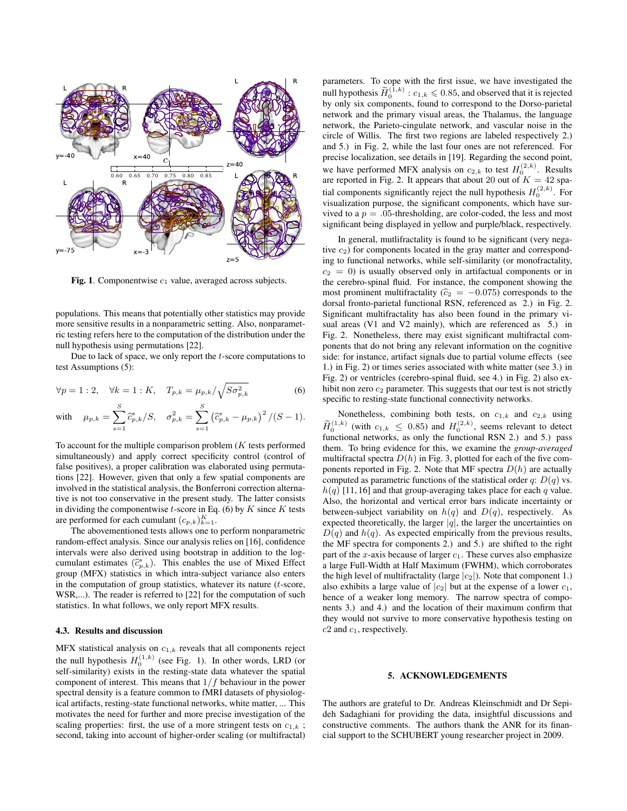

Fig. 1. Componentwise  $c_1$  value, averaged across subjects.

populations. This means that potentially other statistics may provide more sensitive results in a nonparametric setting. Also, nonparametric testing refers here to the computation of the distribution under the null hypothesis using permutations [22].

Due to lack of space, we only report the  $t$ -score computations to test Assumptions (5):

$$
\forall p = 1 : 2, \quad \forall k = 1 : K, \quad T_{p,k} = \mu_{p,k} / \sqrt{S \sigma_{p,k}^2}
$$
 (6)

with 
$$
\mu_{p,k} = \sum_{s=1}^{S} \hat{c}_{p,k}^s / S
$$
,  $\sigma_{p,k}^2 = \sum_{s=1}^{S} (\hat{c}_{p,k}^s - \mu_{p,k})^2 / (S-1)$ .

To account for the multiple comparison problem  $(K$  tests performed simultaneously) and apply correct specificity control (control of false positives), a proper calibration was elaborated using permutations [22]. However, given that only a few spatial components are involved in the statistical analysis, the Bonferroni correction alternative is not too conservative in the present study. The latter consists in dividing the componentwise  $t$ -score in Eq. (6) by  $K$  since  $K$  tests are performed for each cumulant  $(c_{p,k})_{k=1}^K$ .

The abovementioned tests allows one to perform nonparametric random-effect analysis. Since our analysis relies on [16], confidence intervals were also derived using bootstrap in addition to the logcumulant estimates  $(\hat{c}_{p,k}^s)$ . This enables the use of Mixed Effect<br>group (MEX) statistics in which intre subject variance also aptent group (MFX) statistics in which intra-subject variance also enters in the computation of group statistics, whatever its nature  $(t\text{-score},$ WSR,...). The reader is referred to [22] for the computation of such statistics. In what follows, we only report MFX results.

#### 4.3. Results and discussion

MFX statistical analysis on  $c_{1,k}$  reveals that all components reject the null hypothesis  $H_0^{(1,k)}$  (see Fig. 1). In other words, LRD (or self-similarity) exists in the resting-state data whatever the spatial component of interest. This means that  $1/f$  behaviour in the power spectral density is a feature common to fMRI datasets of physiological artifacts, resting-state functional networks, white matter, ... This motivates the need for further and more precise investigation of the scaling properties: first, the use of a more stringent tests on  $c_{1,k}$ ; second, taking into account of higher-order scaling (or multifractal)

parameters. To cope with the first issue, we have investigated the null hypothesis  $\widetilde{H}_0^{(1,k)}: c_{1,k} \leqslant 0.85$ , and observed that it is rejected by only six components, found to correspond to the Dorso-parietal network and the primary visual areas, the Thalamus, the language network, the Parieto-cingulate network, and vascular noise in the circle of Willis. The first two regions are labeled respectively 2.) and 5.) in Fig. 2, while the last four ones are not referenced. For precise localization, see details in [19]. Regarding the second point, we have performed MFX analysis on  $c_{2,k}$  to test  $H_0^{(2,k)}$ . Results are reported in Fig. 2. It appears that about 20 out of  $K = 42$  spatial components significantly reject the null hypothesis  $H_0^{(2,k)}$ . For visualization purpose, the significant components, which have survived to a  $p = .05$ -thresholding, are color-coded, the less and most significant being displayed in yellow and purple/black, respectively.

In general, mutlifractality is found to be significant (very negative  $c_2$ ) for components located in the gray matter and corresponding to functional networks, while self-similarity (or monofractality,  $c_2 = 0$ ) is usually observed only in artifactual components or in the cerebro-spinal fluid. For instance, the component showing the most prominent multifractality ( $\hat{c}_2$  = −0.075) corresponds to the dorsal fronto-parietal functional RSN, referenced as 2.) in Fig. 2. Significant multifractality has also been found in the primary visual areas (V1 and V2 mainly), which are referenced as 5.) in Fig. 2. Nonetheless, there may exist significant multifractal components that do not bring any relevant information on the cognitive side: for instance, artifact signals due to partial volume effects (see 1.) in Fig. 2) or times series associated with white matter (see 3.) in Fig. 2) or ventricles (cerebro-spinal fluid, see 4.) in Fig. 2) also exhibit non zero  $c_2$  parameter. This suggests that our test is not strictly specific to resting-state functional connectivity networks.

Nonetheless, combining both tests, on  $c_{1,k}$  and  $c_{2,k}$  using  $\widetilde{H}_0^{(1,k)}$  (with  $c_{1,k} \leq 0.85$ ) and  $H_0^{(2,k)}$ , seems relevant to detect functional networks, as only the functional RSN 2.) and 5.) pass them. To bring evidence for this, we examine the *group-averaged* multifractal spectra  $D(h)$  in Fig. 3, plotted for each of the five components reported in Fig. 2. Note that MF spectra  $D(h)$  are actually computed as parametric functions of the statistical order q:  $D(q)$  vs.  $h(q)$  [11, 16] and that group-averaging takes place for each q value. Also, the horizontal and vertical error bars indicate incertainty or between-subject variability on  $h(q)$  and  $D(q)$ , respectively. As expected theoretically, the larger  $|q|$ , the larger the uncertainties on  $D(q)$  and  $h(q)$ . As expected empirically from the previous results, the MF spectra for components 2.) and 5.) are shifted to the right part of the x-axis because of larger  $c_1$ . These curves also emphasize a large Full-Width at Half Maximum (FWHM), which corroborates the high level of multifractality (large  $|c_2|$ ). Note that component 1.) also exhibits a large value of  $|c_2|$  but at the expense of a lower  $c_1$ , hence of a weaker long memory. The narrow spectra of components 3.) and 4.) and the location of their maximum confirm that they would not survive to more conservative hypothesis testing on  $c2$  and  $c<sub>1</sub>$ , respectively.

## 5. ACKNOWLEDGEMENTS

The authors are grateful to Dr. Andreas Kleinschmidt and Dr Sepideh Sadaghiani for providing the data, insightful discussions and constructive comments. The authors thank the ANR for its financial support to the SCHUBERT young researcher project in 2009.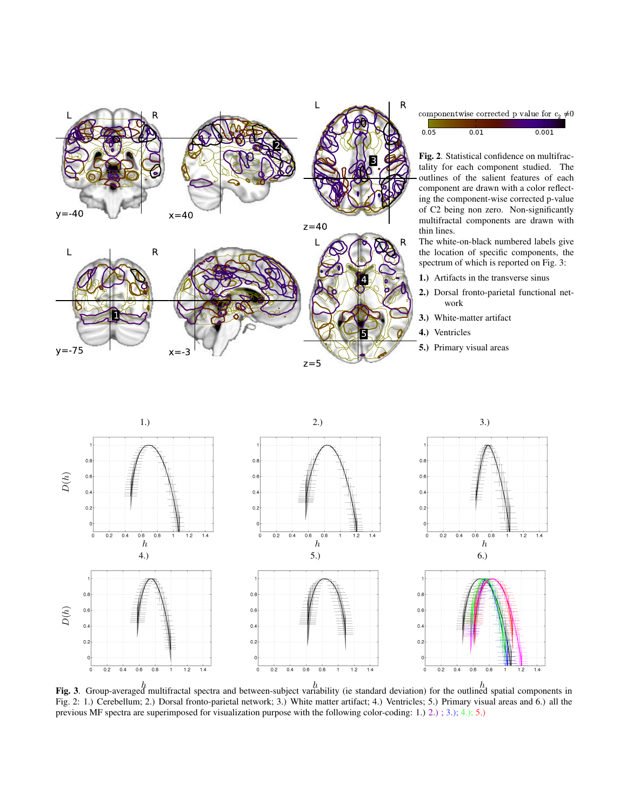



componentwise corrected p value for  $c_2 \neq 0$ 



Fig. 2. Statistical confidence on multifractality for each component studied. The outlines of the salient features of each component are drawn with a color reflecting the component-wise corrected p-value of C2 being non zero. Non-significantly multifractal components are drawn with thin lines.

The white-on-black numbered labels give the location of specific components, the spectrum of which is reported on Fig. 3:

- 1.) Artifacts in the transverse sinus
- 2.) Dorsal fronto-parietal functional network
- 3.) White-matter artifact
- 4.) Ventricles
- 5.) Primary visual areas



**Fig. 3**. Group-averaged multifractal spectra and between-subject variability (ie standard deviation) for the outlined spatial components in Fig. 2: 1.) Cerebellum; 2.) Dorsal fronto-parietal network; 3.) White matter artifact; 4.) Ventricles; 5.) Primary visual areas and 6.) all the previous MF spectra are superimposed for visualization purpose with the following color-coding: 1.) 2.) ; 3.); 4.); 5.)